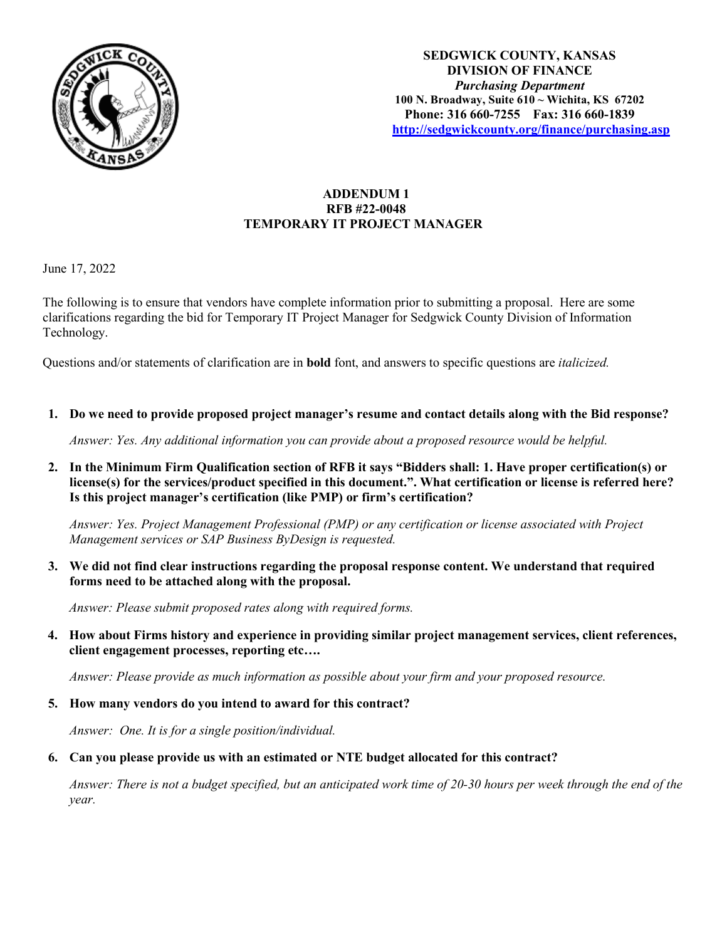

# **ADDENDUM 1 RFB #22-0048 TEMPORARY IT PROJECT MANAGER**

June 17, 2022

The following is to ensure that vendors have complete information prior to submitting a proposal. Here are some clarifications regarding the bid for Temporary IT Project Manager for Sedgwick County Division of Information Technology.

Questions and/or statements of clarification are in **bold** font, and answers to specific questions are *italicized.*

**1. Do we need to provide proposed project manager's resume and contact details along with the Bid response?**

*Answer: Yes. Any additional information you can provide about a proposed resource would be helpful.* 

**2. In the Minimum Firm Qualification section of RFB it says "Bidders shall: 1. Have proper certification(s) or license(s) for the services/product specified in this document.". What certification or license is referred here? Is this project manager's certification (like PMP) or firm's certification?**

*Answer: Yes. Project Management Professional (PMP) or any certification or license associated with Project Management services or SAP Business ByDesign is requested.*

**3. We did not find clear instructions regarding the proposal response content. We understand that required forms need to be attached along with the proposal.** 

*Answer: Please submit proposed rates along with required forms.* 

**4. How about Firms history and experience in providing similar project management services, client references, client engagement processes, reporting etc….**

*Answer: Please provide as much information as possible about your firm and your proposed resource.* 

**5. How many vendors do you intend to award for this contract?**

*Answer: One. It is for a single position/individual.*

**6. Can you please provide us with an estimated or NTE budget allocated for this contract?**

*Answer: There is not a budget specified, but an anticipated work time of 20-30 hours per week through the end of the year.*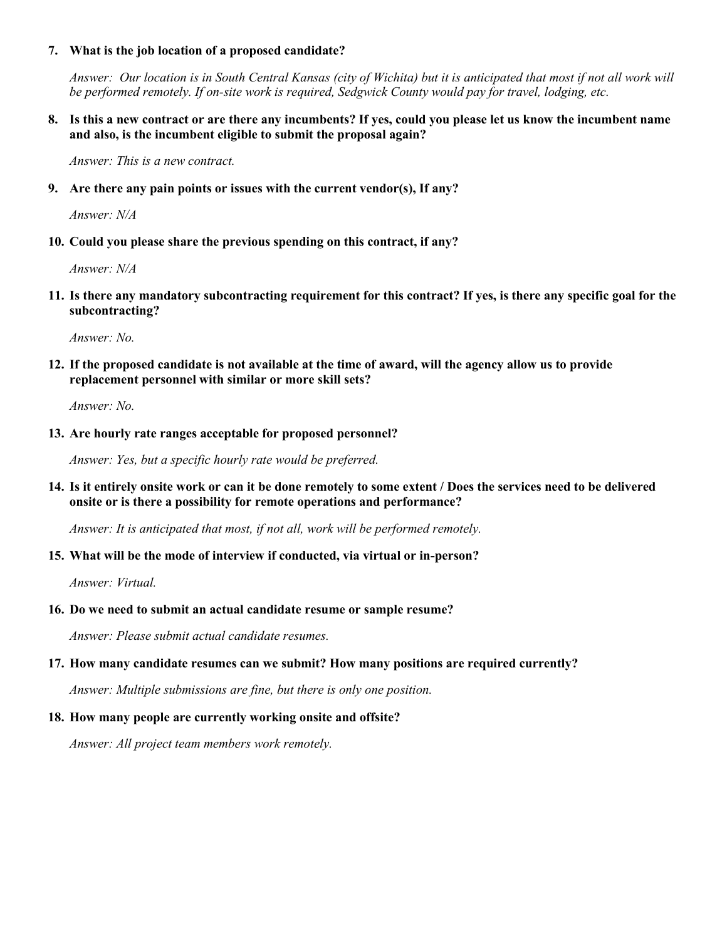## **7. What is the job location of a proposed candidate?**

*Answer: Our location is in South Central Kansas (city of Wichita) but it is anticipated that most if not all work will be performed remotely. If on-site work is required, Sedgwick County would pay for travel, lodging, etc.*

## **8. Is this a new contract or are there any incumbents? If yes, could you please let us know the incumbent name and also, is the incumbent eligible to submit the proposal again?**

*Answer: This is a new contract.*

#### **9. Are there any pain points or issues with the current vendor(s), If any?**

*Answer: N/A*

## **10. Could you please share the previous spending on this contract, if any?**

*Answer: N/A*

**11. Is there any mandatory subcontracting requirement for this contract? If yes, is there any specific goal for the subcontracting?**

*Answer: No.*

**12. If the proposed candidate is not available at the time of award, will the agency allow us to provide replacement personnel with similar or more skill sets?**

*Answer: No.*

## **13. Are hourly rate ranges acceptable for proposed personnel?**

*Answer: Yes, but a specific hourly rate would be preferred.*

**14. Is it entirely onsite work or can it be done remotely to some extent / Does the services need to be delivered onsite or is there a possibility for remote operations and performance?**

*Answer: It is anticipated that most, if not all, work will be performed remotely.*

#### **15. What will be the mode of interview if conducted, via virtual or in-person?**

*Answer: Virtual.*

#### **16. Do we need to submit an actual candidate resume or sample resume?**

*Answer: Please submit actual candidate resumes.*

#### **17. How many candidate resumes can we submit? How many positions are required currently?**

*Answer: Multiple submissions are fine, but there is only one position.*

#### **18. How many people are currently working onsite and offsite?**

*Answer: All project team members work remotely.*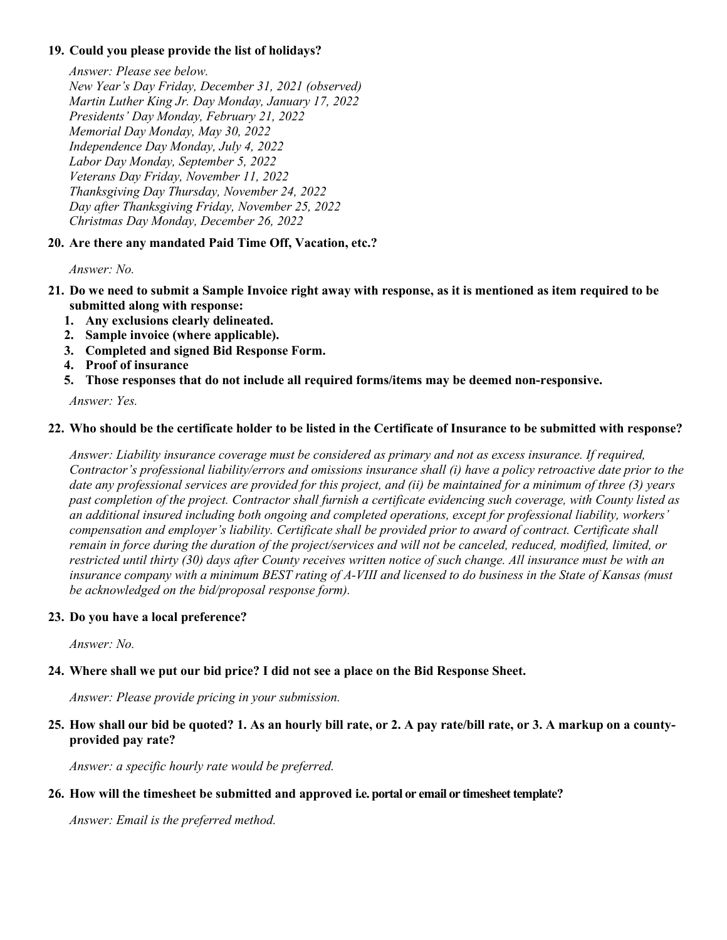## **19. Could you please provide the list of holidays?**

*Answer: Please see below. New Year's Day Friday, December 31, 2021 (observed) Martin Luther King Jr. Day Monday, January 17, 2022 Presidents' Day Monday, February 21, 2022 Memorial Day Monday, May 30, 2022 Independence Day Monday, July 4, 2022 Labor Day Monday, September 5, 2022 Veterans Day Friday, November 11, 2022 Thanksgiving Day Thursday, November 24, 2022 Day after Thanksgiving Friday, November 25, 2022 Christmas Day Monday, December 26, 2022* 

# **20. Are there any mandated Paid Time Off, Vacation, etc.?**

*Answer: No.* 

- **21. Do we need to submit a Sample Invoice right away with response, as it is mentioned as item required to be submitted along with response:**
	- **1. Any exclusions clearly delineated.**
	- **2. Sample invoice (where applicable).**
	- **3. Completed and signed Bid Response Form.**
	- **4. Proof of insurance**
	- **5. Those responses that do not include all required forms/items may be deemed non-responsive.**

*Answer: Yes.* 

## **22. Who should be the certificate holder to be listed in the Certificate of Insurance to be submitted with response?**

*Answer: Liability insurance coverage must be considered as primary and not as excess insurance. If required, Contractor's professional liability/errors and omissions insurance shall (i) have a policy retroactive date prior to the date any professional services are provided for this project, and (ii) be maintained for a minimum of three (3) years past completion of the project. Contractor shall furnish a certificate evidencing such coverage, with County listed as an additional insured including both ongoing and completed operations, except for professional liability, workers' compensation and employer's liability. Certificate shall be provided prior to award of contract. Certificate shall remain in force during the duration of the project/services and will not be canceled, reduced, modified, limited, or restricted until thirty (30) days after County receives written notice of such change. All insurance must be with an insurance company with a minimum BEST rating of A-VIII and licensed to do business in the State of Kansas (must be acknowledged on the bid/proposal response form).* 

## **23. Do you have a local preference?**

*Answer: No.* 

# **24. Where shall we put our bid price? I did not see a place on the Bid Response Sheet.**

*Answer: Please provide pricing in your submission.* 

# **25. How shall our bid be quoted? 1. As an hourly bill rate, or 2. A pay rate/bill rate, or 3. A markup on a countyprovided pay rate?**

*Answer: a specific hourly rate would be preferred.*

## **26. How will the timesheet be submitted and approved i.e. portal or email or timesheet template?**

*Answer: Email is the preferred method.*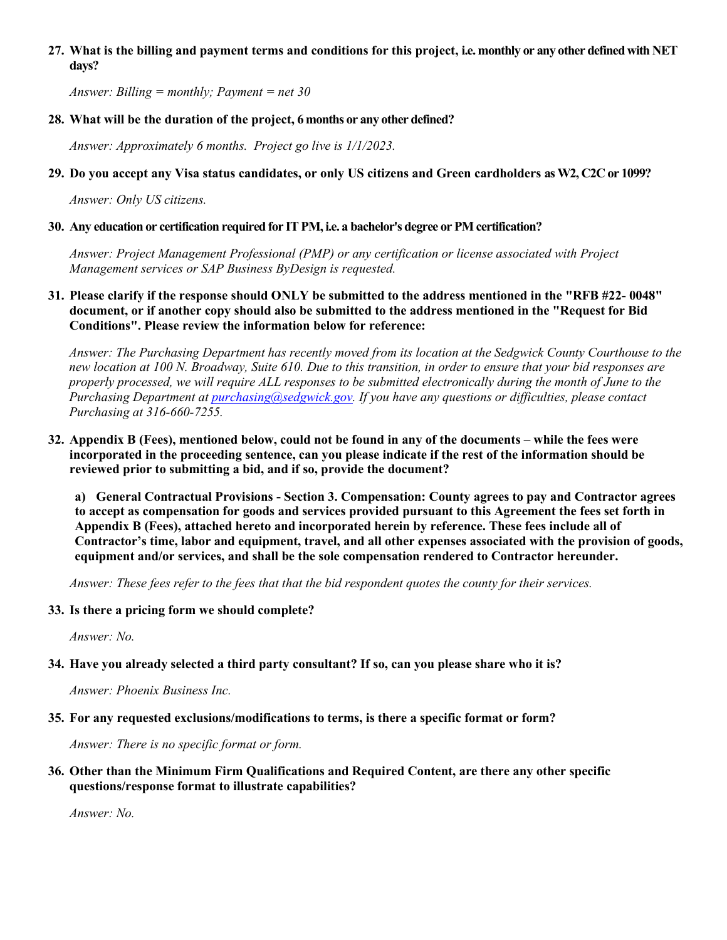## **27. What is the billing and payment terms and conditions for this project, i.e. monthly or any other defined with NET days?**

*Answer: Billing = monthly; Payment = net 30* 

## **28. What will be the duration of the project, 6 months or any other defined?**

*Answer: Approximately 6 months. Project go live is 1/1/2023.*

# **29. Do you accept any Visa status candidates, or only US citizens and Green cardholders as W2, C2C or 1099?**

*Answer: Only US citizens.* 

## **30. Any education or certification required for IT PM, i.e. a bachelor's degree or PM certification?**

*Answer: Project Management Professional (PMP) or any certification or license associated with Project Management services or SAP Business ByDesign is requested.*

**31. Please clarify if the response should ONLY be submitted to the address mentioned in the "RFB #22- 0048" document, or if another copy should also be submitted to the address mentioned in the "Request for Bid Conditions". Please review the information below for reference:** 

*Answer: The Purchasing Department has recently moved from its location at the Sedgwick County Courthouse to the new location at 100 N. Broadway, Suite 610. Due to this transition, in order to ensure that your bid responses are properly processed, we will require ALL responses to be submitted electronically during the month of June to the Purchasing Department at [purchasing@sedgwick.gov.](mailto:purchasing@sedgwick.gov) If you have any questions or difficulties, please contact Purchasing at 316-660-7255.*

**32. Appendix B (Fees), mentioned below, could not be found in any of the documents – while the fees were incorporated in the proceeding sentence, can you please indicate if the rest of the information should be reviewed prior to submitting a bid, and if so, provide the document?** 

**a) General Contractual Provisions - Section 3. Compensation: County agrees to pay and Contractor agrees to accept as compensation for goods and services provided pursuant to this Agreement the fees set forth in Appendix B (Fees), attached hereto and incorporated herein by reference. These fees include all of Contractor's time, labor and equipment, travel, and all other expenses associated with the provision of goods, equipment and/or services, and shall be the sole compensation rendered to Contractor hereunder.**

*Answer: These fees refer to the fees that that the bid respondent quotes the county for their services.* 

## **33. Is there a pricing form we should complete?**

*Answer: No.* 

## **34. Have you already selected a third party consultant? If so, can you please share who it is?**

*Answer: Phoenix Business Inc.*

**35. For any requested exclusions/modifications to terms, is there a specific format or form?**

*Answer: There is no specific format or form.* 

**36. Other than the Minimum Firm Qualifications and Required Content, are there any other specific questions/response format to illustrate capabilities?**

*Answer: No.*